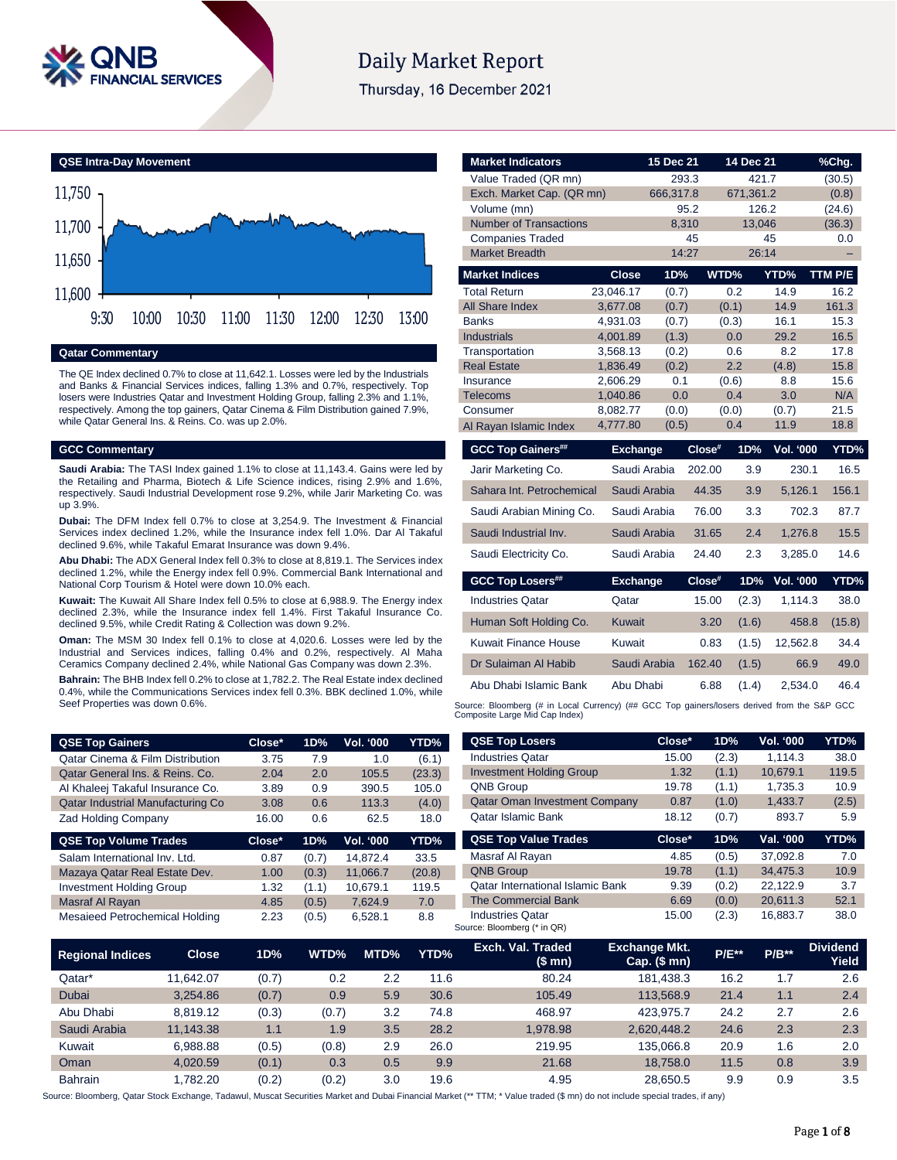

# **Daily Market Report**

Thursday, 16 December 2021



## **Qatar Commentary**

The QE Index declined 0.7% to close at 11,642.1. Losses were led by the Industrials and Banks & Financial Services indices, falling 1.3% and 0.7%, respectively. Top losers were Industries Qatar and Investment Holding Group, falling 2.3% and 1.1%, respectively. Among the top gainers, Qatar Cinema & Film Distribution gained 7.9%, while Qatar General Ins. & Reins. Co. was up 2.0%.

### **GCC Commentary**

**Saudi Arabia:** The TASI Index gained 1.1% to close at 11,143.4. Gains were led by the Retailing and Pharma, Biotech & Life Science indices, rising 2.9% and 1.6%, respectively. Saudi Industrial Development rose 9.2%, while Jarir Marketing Co. was up 3.9%.

**Dubai:** The DFM Index fell 0.7% to close at 3,254.9. The Investment & Financial Services index declined 1.2%, while the Insurance index fell 1.0%. Dar Al Takaful declined 9.6%, while Takaful Emarat Insurance was down 9.4%.

**Abu Dhabi:** The ADX General Index fell 0.3% to close at 8,819.1. The Services index declined 1.2%, while the Energy index fell 0.9%. Commercial Bank International and National Corp Tourism & Hotel were down 10.0% each.

**Kuwait:** The Kuwait All Share Index fell 0.5% to close at 6,988.9. The Energy index declined 2.3%, while the Insurance index fell 1.4%. First Takaful Insurance Co. declined 9.5%, while Credit Rating & Collection was down 9.2%.

**Oman:** The MSM 30 Index fell 0.1% to close at 4,020.6. Losses were led by the Industrial and Services indices, falling 0.4% and 0.2%, respectively. Al Maha Ceramics Company declined 2.4%, while National Gas Company was down 2.3%.

**Bahrain:** The BHB Index fell 0.2% to close at 1,782.2. The Real Estate index declined 0.4%, while the Communications Services index fell 0.3%. BBK declined 1.0%, while Seef Properties was down 0.6%.

| Value Traded (QR mn)                                                                                                          |                 | 293.3     |                 | 421.7            | (30.5)  |
|-------------------------------------------------------------------------------------------------------------------------------|-----------------|-----------|-----------------|------------------|---------|
| Exch. Market Cap. (QR mn)                                                                                                     |                 | 666,317.8 | 671,361.2       |                  | (0.8)   |
| Volume (mn)                                                                                                                   |                 | 95.2      |                 | 126.2            | (24.6)  |
| <b>Number of Transactions</b>                                                                                                 |                 | 8,310     |                 | 13,046           | (36.3)  |
| <b>Companies Traded</b>                                                                                                       |                 | 45        |                 | 45               | 0.0     |
| <b>Market Breadth</b>                                                                                                         |                 | 14:27     |                 | 26:14            |         |
| <b>Market Indices</b>                                                                                                         | <b>Close</b>    | 1D%       | WTD%            | YTD%             | TTM P/E |
| <b>Total Return</b>                                                                                                           | 23,046.17       | (0.7)     | 0.2             | 14.9             | 16.2    |
| <b>All Share Index</b>                                                                                                        | 3,677.08        | (0.7)     | (0.1)           | 14.9             | 161.3   |
| <b>Banks</b>                                                                                                                  | 4,931.03        | (0.7)     | (0.3)           | 16.1             | 15.3    |
| <b>Industrials</b>                                                                                                            | 4,001.89        | (1.3)     | 0.0             | 29.2             | 16.5    |
| Transportation                                                                                                                | 3,568.13        | (0.2)     | 0.6             | 8.2              | 17.8    |
| <b>Real Estate</b>                                                                                                            | 1,836.49        | (0.2)     | 2.2             | (4.8)            | 15.8    |
| Insurance                                                                                                                     | 2,606.29        | 0.1       | (0.6)           | 8.8              | 15.6    |
| Telecoms                                                                                                                      | 1,040.86        | 0.0       | 0.4             | 3.0              | N/A     |
| Consumer                                                                                                                      | 8,082.77        | (0.0)     | (0.0)           | (0.7)            | 21.5    |
| Al Rayan Islamic Index                                                                                                        | 4,777.80        | (0.5)     | 0.4             | 11.9             | 18.8    |
| <b>GCC Top Gainers##</b>                                                                                                      | <b>Exchange</b> |           | Close#<br>1D%   | Vol. '000        | YTD%    |
| Jarir Marketing Co.                                                                                                           | Saudi Arabia    |           | 3.9<br>202.00   | 230.1            | 16.5    |
| Sahara Int. Petrochemical                                                                                                     | Saudi Arabia    |           | 44.35<br>3.9    | 5,126.1          | 156.1   |
| Saudi Arabian Mining Co.                                                                                                      | Saudi Arabia    |           | 3.3<br>76.00    | 702.3            | 87.7    |
| Saudi Industrial Inv.                                                                                                         | Saudi Arabia    |           | 2.4<br>31.65    | 1,276.8          | 15.5    |
| Saudi Electricity Co.                                                                                                         | Saudi Arabia    |           | 24.40<br>2.3    | 3,285.0          | 14.6    |
| <b>GCC Top Losers##</b>                                                                                                       | <b>Exchange</b> |           | Close#<br>1D%   | <b>Vol. '000</b> | YTD%    |
| <b>Industries Qatar</b>                                                                                                       | Qatar           |           | 15.00<br>(2.3)  | 1,114.3          | 38.0    |
| Human Soft Holding Co.                                                                                                        | Kuwait          |           | 3.20<br>(1.6)   | 458.8            | (15.8)  |
| Kuwait Finance House                                                                                                          | Kuwait          |           | 0.83<br>(1.5)   | 12,562.8         | 34.4    |
| Dr Sulaiman Al Habib                                                                                                          | Saudi Arabia    |           | 162.40<br>(1.5) | 66.9             | 49.0    |
| Abu Dhabi Islamic Bank                                                                                                        | Abu Dhabi       |           | 6.88<br>(1.4)   | 2,534.0          | 46.4    |
| Source: Bloomberg (# in Local Currency) (## GCC Top gainers/losers derived from the S&P GCC<br>Composite Large Mid Cap Index) |                 |           |                 |                  |         |

**Market Indicators 15 Dec 21 14 Dec 21 %Chg.**

| Close* | 1D% | Vol. '000 | <b>YTD%</b> |
|--------|-----|-----------|-------------|
| 3.75   | 7.9 | 1.0       | (6.1)       |
| 2.04   | 2.0 | 105.5     | (23.3)      |
| 3.89   | 0.9 | 390.5     | 105.0       |
| 3.08   | 0.6 | 113.3     | (4.0)       |
| 16.00  | 0.6 | 62.5      | 18.0        |
|        |     |           |             |

| YTD%   |
|--------|
| 33.5   |
| (20.8) |
| 119.5  |
| 7.0    |
| 8.8    |
|        |

| <b>Industries Qatar</b>                 | 15.00  | (2.3) | 1,114.3   | 38.0  |
|-----------------------------------------|--------|-------|-----------|-------|
| <b>Investment Holding Group</b>         | 1.32   | (1.1) | 10,679.1  | 119.5 |
| <b>QNB Group</b>                        | 19.78  | (1.1) | 1,735.3   | 10.9  |
| <b>Qatar Oman Investment Company</b>    | 0.87   | (1.0) | 1,433.7   | (2.5) |
| Qatar Islamic Bank                      | 18.12  | (0.7) | 893.7     | 5.9   |
| <b>QSE Top Value Trades</b>             | Close* | 1D%   | Val. '000 | YTD%  |
| Masraf Al Rayan                         | 4.85   | (0.5) | 37.092.8  | 7.0   |
| <b>QNB Group</b>                        |        |       |           |       |
|                                         | 19.78  | (1.1) | 34,475.3  | 10.9  |
| <b>Oatar International Islamic Bank</b> | 9.39   | (0.2) | 22,122.9  | 3.7   |
| The Commercial Bank                     | 6.69   | (0.0) | 20,611.3  | 52.1  |

**QSE Top Losers Close\* 1D% Vol. '000 YTD%**

| <b>Regional Indices</b> | <b>Close</b> | 1D%   | WTD%  | MTD% | YTD% | Exch. Val. Traded<br>(\$ mn) | <b>Exchange Mkt.</b><br>$Cap.$ (\$ mn) | <b>P/E**</b> | $P/B**$ | <b>Dividend</b><br>Yield |
|-------------------------|--------------|-------|-------|------|------|------------------------------|----------------------------------------|--------------|---------|--------------------------|
| Qatar*                  | 11.642.07    | (0.7) | 0.2   | 2.2  | 11.6 | 80.24                        | 181.438.3                              | 16.2         | 1.7     | 2.6                      |
| Dubai                   | 3.254.86     | (0.7) | 0.9   | 5.9  | 30.6 | 105.49                       | 113.568.9                              | 21.4         | 1.1     | 2.4                      |
| Abu Dhabi               | 8.819.12     | (0.3) | (0.7) | 3.2  | 74.8 | 468.97                       | 423.975.7                              | 24.2         | 2.7     | 2.6                      |
| Saudi Arabia            | 11.143.38    | 1.1   | 1.9   | 3.5  | 28.2 | 1.978.98                     | 2,620,448.2                            | 24.6         | 2.3     | 2.3                      |
| Kuwait                  | 6.988.88     | (0.5) | (0.8) | 2.9  | 26.0 | 219.95                       | 135.066.8                              | 20.9         | 1.6     | 2.0                      |
| Oman                    | 4.020.59     | (0.1) | 0.3   | 0.5  | 9.9  | 21.68                        | 18,758.0                               | 11.5         | 0.8     | 3.9                      |
| <b>Bahrain</b>          | .782.20      | (0.2) | (0.2) | 3.0  | 19.6 | 4.95                         | 28.650.5                               | 9.9          | 0.9     | 3.5                      |

Source: Bloomberg, Qatar Stock Exchange, Tadawul, Muscat Securities Market and Dubai Financial Market (\*\* TTM; \* Value traded (\$ mn) do not include special trades, if any)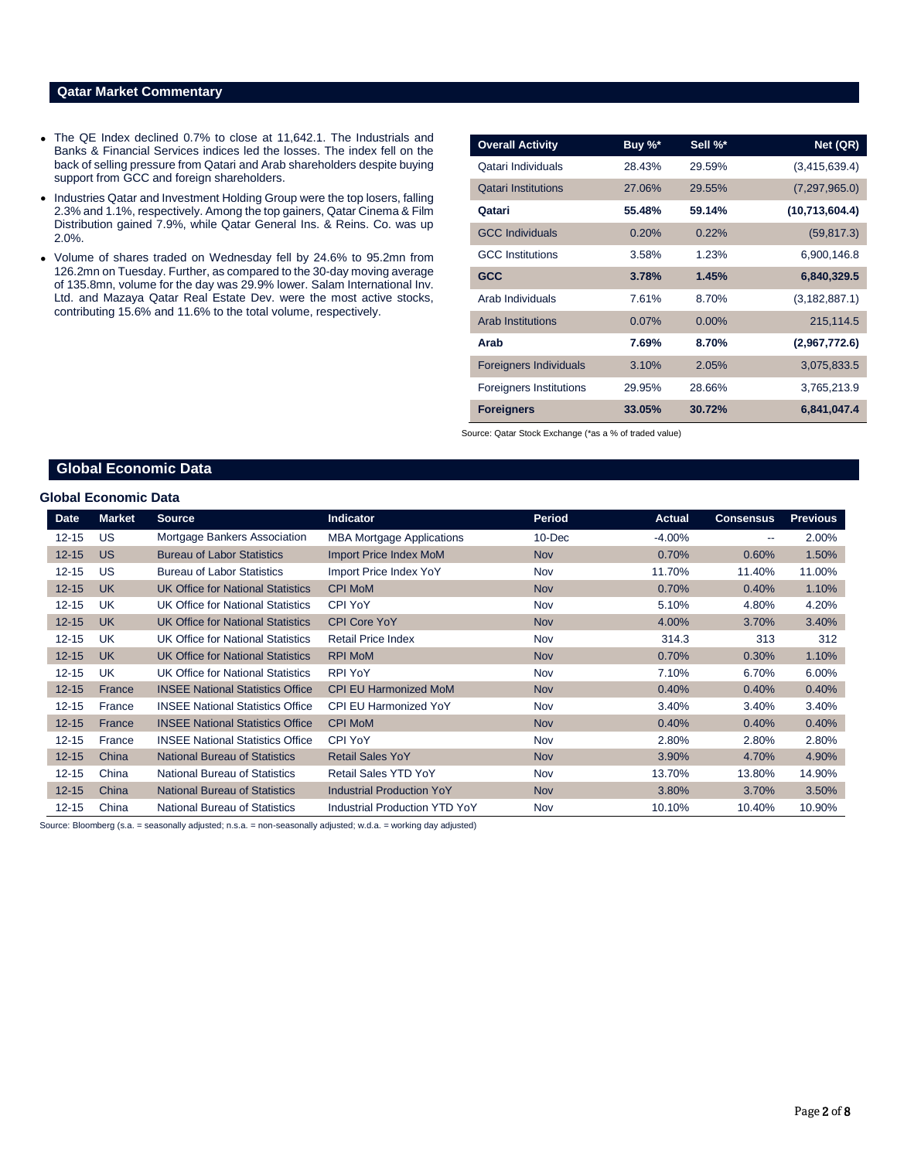### **Qatar Market Commentary**

- The QE Index declined 0.7% to close at 11,642.1. The Industrials and Banks & Financial Services indices led the losses. The index fell on the back of selling pressure from Qatari and Arab shareholders despite buying support from GCC and foreign shareholders.
- Industries Qatar and Investment Holding Group were the top losers, falling 2.3% and 1.1%, respectively. Among the top gainers, Qatar Cinema & Film Distribution gained 7.9%, while Qatar General Ins. & Reins. Co. was up 2.0%.
- Volume of shares traded on Wednesday fell by 24.6% to 95.2mn from 126.2mn on Tuesday. Further, as compared to the 30-day moving average of 135.8mn, volume for the day was 29.9% lower. Salam International Inv. Ltd. and Mazaya Qatar Real Estate Dev. were the most active stocks, contributing 15.6% and 11.6% to the total volume, respectively.

| <b>Overall Activity</b>        | Buy %* | Sell %*  | Net (QR)        |
|--------------------------------|--------|----------|-----------------|
| Qatari Individuals             | 28.43% | 29.59%   | (3,415,639.4)   |
| <b>Qatari Institutions</b>     | 27.06% | 29.55%   | (7, 297, 965.0) |
| Qatari                         | 55.48% | 59.14%   | (10,713,604.4)  |
| <b>GCC Individuals</b>         | 0.20%  | 0.22%    | (59, 817.3)     |
| <b>GCC</b> Institutions        | 3.58%  | 1.23%    | 6,900,146.8     |
| <b>GCC</b>                     | 3.78%  | 1.45%    | 6,840,329.5     |
| Arab Individuals               | 7.61%  | 8.70%    | (3, 182, 887.1) |
| <b>Arab Institutions</b>       | 0.07%  | $0.00\%$ | 215,114.5       |
| Arab                           | 7.69%  | 8.70%    | (2,967,772.6)   |
| <b>Foreigners Individuals</b>  | 3.10%  | 2.05%    | 3,075,833.5     |
| <b>Foreigners Institutions</b> | 29.95% | 28.66%   | 3,765,213.9     |
| <b>Foreigners</b>              | 33.05% | 30.72%   | 6,841,047.4     |

Source: Qatar Stock Exchange (\*as a % of traded value)

# **Global Economic Data**

### **Global Economic Data**

| Date      | <b>Market</b> | <b>Source</b>                            | <b>Indicator</b>                     | <b>Period</b> | <b>Actual</b> | <b>Consensus</b>         | <b>Previous</b> |
|-----------|---------------|------------------------------------------|--------------------------------------|---------------|---------------|--------------------------|-----------------|
| $12 - 15$ | US            | Mortgage Bankers Association             | <b>MBA Mortgage Applications</b>     | $10 - Dec$    | $-4.00%$      | $\overline{\phantom{a}}$ | 2.00%           |
| $12 - 15$ | <b>US</b>     | <b>Bureau of Labor Statistics</b>        | <b>Import Price Index MoM</b>        | <b>Nov</b>    | 0.70%         | 0.60%                    | 1.50%           |
| $12 - 15$ | US            | <b>Bureau of Labor Statistics</b>        | Import Price Index YoY               | Nov           | 11.70%        | 11.40%                   | 11.00%          |
| $12 - 15$ | <b>UK</b>     | <b>UK Office for National Statistics</b> | <b>CPI MoM</b>                       | <b>Nov</b>    | 0.70%         | 0.40%                    | 1.10%           |
| $12 - 15$ | UK            | <b>UK Office for National Statistics</b> | <b>CPI YoY</b>                       | Nov           | 5.10%         | 4.80%                    | 4.20%           |
| $12 - 15$ | <b>UK</b>     | <b>UK Office for National Statistics</b> | <b>CPI Core YoY</b>                  | <b>Nov</b>    | 4.00%         | 3.70%                    | 3.40%           |
| $12 - 15$ | <b>UK</b>     | <b>UK Office for National Statistics</b> | <b>Retail Price Index</b>            | Nov           | 314.3         | 313                      | 312             |
| $12 - 15$ | <b>UK</b>     | <b>UK Office for National Statistics</b> | <b>RPI MoM</b>                       | <b>Nov</b>    | 0.70%         | 0.30%                    | 1.10%           |
| $12 - 15$ | <b>UK</b>     | UK Office for National Statistics        | <b>RPI YoY</b>                       | Nov           | 7.10%         | 6.70%                    | 6.00%           |
| $12 - 15$ | France        | <b>INSEE National Statistics Office</b>  | <b>CPI EU Harmonized MoM</b>         | <b>Nov</b>    | 0.40%         | 0.40%                    | 0.40%           |
| $12 - 15$ | France        | <b>INSEE National Statistics Office</b>  | <b>CPI EU Harmonized YoY</b>         | Nov           | 3.40%         | 3.40%                    | 3.40%           |
| $12 - 15$ | France        | <b>INSEE National Statistics Office</b>  | <b>CPI MoM</b>                       | <b>Nov</b>    | 0.40%         | 0.40%                    | 0.40%           |
| $12 - 15$ | France        | <b>INSEE National Statistics Office</b>  | <b>CPI YoY</b>                       | Nov           | 2.80%         | 2.80%                    | 2.80%           |
| $12 - 15$ | China         | <b>National Bureau of Statistics</b>     | <b>Retail Sales YoY</b>              | <b>Nov</b>    | 3.90%         | 4.70%                    | 4.90%           |
| $12 - 15$ | China         | <b>National Bureau of Statistics</b>     | <b>Retail Sales YTD YoY</b>          | Nov           | 13.70%        | 13.80%                   | 14.90%          |
| $12 - 15$ | China         | <b>National Bureau of Statistics</b>     | <b>Industrial Production YoY</b>     | <b>Nov</b>    | 3.80%         | 3.70%                    | 3.50%           |
| $12 - 15$ | China         | <b>National Bureau of Statistics</b>     | <b>Industrial Production YTD YoY</b> | Nov           | 10.10%        | 10.40%                   | 10.90%          |

Source: Bloomberg (s.a. = seasonally adjusted; n.s.a. = non-seasonally adjusted; w.d.a. = working day adjusted)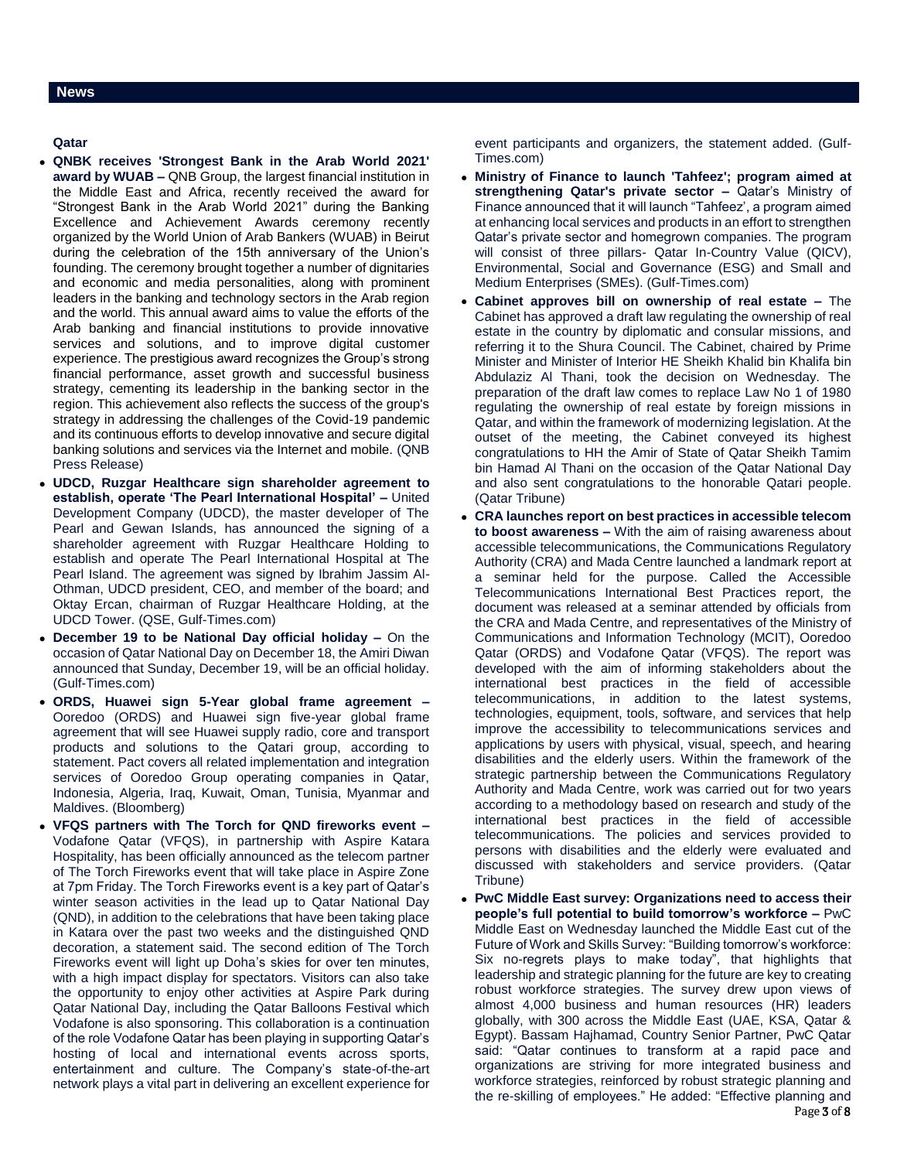**Qatar** 

- **QNBK receives 'Strongest Bank in the Arab World 2021' award by WUAB –** QNB Group, the largest financial institution in the Middle East and Africa, recently received the award for "Strongest Bank in the Arab World 2021" during the Banking Excellence and Achievement Awards ceremony recently organized by the World Union of Arab Bankers (WUAB) in Beirut during the celebration of the 15th anniversary of the Union's founding. The ceremony brought together a number of dignitaries and economic and media personalities, along with prominent leaders in the banking and technology sectors in the Arab region and the world. This annual award aims to value the efforts of the Arab banking and financial institutions to provide innovative services and solutions, and to improve digital customer experience. The prestigious award recognizes the Group's strong financial performance, asset growth and successful business strategy, cementing its leadership in the banking sector in the region. This achievement also reflects the success of the group's strategy in addressing the challenges of the Covid-19 pandemic and its continuous efforts to develop innovative and secure digital banking solutions and services via the Internet and mobile. (QNB Press Release)
- **UDCD, Ruzgar Healthcare sign shareholder agreement to establish, operate 'The Pearl International Hospital' –** United Development Company (UDCD), the master developer of The Pearl and Gewan Islands, has announced the signing of a shareholder agreement with Ruzgar Healthcare Holding to establish and operate The Pearl International Hospital at The Pearl Island. The agreement was signed by Ibrahim Jassim Al-Othman, UDCD president, CEO, and member of the board; and Oktay Ercan, chairman of Ruzgar Healthcare Holding, at the UDCD Tower. (QSE, Gulf-Times.com)
- **December 19 to be National Day official holiday –** On the occasion of Qatar National Day on December 18, the Amiri Diwan announced that Sunday, December 19, will be an official holiday. (Gulf-Times.com)
- **ORDS, Huawei sign 5-Year global frame agreement –** Ooredoo (ORDS) and Huawei sign five-year global frame agreement that will see Huawei supply radio, core and transport products and solutions to the Qatari group, according to statement. Pact covers all related implementation and integration services of Ooredoo Group operating companies in Qatar, Indonesia, Algeria, Iraq, Kuwait, Oman, Tunisia, Myanmar and Maldives. (Bloomberg)
- **VFQS partners with The Torch for QND fireworks event –** Vodafone Qatar (VFQS), in partnership with Aspire Katara Hospitality, has been officially announced as the telecom partner of The Torch Fireworks event that will take place in Aspire Zone at 7pm Friday. The Torch Fireworks event is a key part of Qatar's winter season activities in the lead up to Qatar National Day (QND), in addition to the celebrations that have been taking place in Katara over the past two weeks and the distinguished QND decoration, a statement said. The second edition of The Torch Fireworks event will light up Doha's skies for over ten minutes, with a high impact display for spectators. Visitors can also take the opportunity to enjoy other activities at Aspire Park during Qatar National Day, including the Qatar Balloons Festival which Vodafone is also sponsoring. This collaboration is a continuation of the role Vodafone Qatar has been playing in supporting Qatar's hosting of local and international events across sports, entertainment and culture. The Company's state-of-the-art network plays a vital part in delivering an excellent experience for

event participants and organizers, the statement added. (Gulf-Times.com)

- **Ministry of Finance to launch 'Tahfeez'; program aimed at strengthening Qatar's private sector –** Qatar's Ministry of Finance announced that it will launch "Tahfeez', a program aimed at enhancing local services and products in an effort to strengthen Qatar's private sector and homegrown companies. The program will consist of three pillars- Qatar In-Country Value (QICV), Environmental, Social and Governance (ESG) and Small and Medium Enterprises (SMEs). (Gulf-Times.com)
- **Cabinet approves bill on ownership of real estate –** The Cabinet has approved a draft law regulating the ownership of real estate in the country by diplomatic and consular missions, and referring it to the Shura Council. The Cabinet, chaired by Prime Minister and Minister of Interior HE Sheikh Khalid bin Khalifa bin Abdulaziz Al Thani, took the decision on Wednesday. The preparation of the draft law comes to replace Law No 1 of 1980 regulating the ownership of real estate by foreign missions in Qatar, and within the framework of modernizing legislation. At the outset of the meeting, the Cabinet conveyed its highest congratulations to HH the Amir of State of Qatar Sheikh Tamim bin Hamad Al Thani on the occasion of the Qatar National Day and also sent congratulations to the honorable Qatari people. (Qatar Tribune)
- **CRA launches report on best practices in accessible telecom to boost awareness –** With the aim of raising awareness about accessible telecommunications, the Communications Regulatory Authority (CRA) and Mada Centre launched a landmark report at a seminar held for the purpose. Called the Accessible Telecommunications International Best Practices report, the document was released at a seminar attended by officials from the CRA and Mada Centre, and representatives of the Ministry of Communications and Information Technology (MCIT), Ooredoo Qatar (ORDS) and Vodafone Qatar (VFQS). The report was developed with the aim of informing stakeholders about the international best practices in the field of accessible telecommunications, in addition to the latest systems, technologies, equipment, tools, software, and services that help improve the accessibility to telecommunications services and applications by users with physical, visual, speech, and hearing disabilities and the elderly users. Within the framework of the strategic partnership between the Communications Regulatory Authority and Mada Centre, work was carried out for two years according to a methodology based on research and study of the international best practices in the field of accessible telecommunications. The policies and services provided to persons with disabilities and the elderly were evaluated and discussed with stakeholders and service providers. (Qatar Tribune)
- Page 3 of 8 **PwC Middle East survey: Organizations need to access their people's full potential to build tomorrow's workforce –** PwC Middle East on Wednesday launched the Middle East cut of the Future of Work and Skills Survey: "Building tomorrow's workforce: Six no-regrets plays to make today", that highlights that leadership and strategic planning for the future are key to creating robust workforce strategies. The survey drew upon views of almost 4,000 business and human resources (HR) leaders globally, with 300 across the Middle East (UAE, KSA, Qatar & Egypt). Bassam Hajhamad, Country Senior Partner, PwC Qatar said: "Qatar continues to transform at a rapid pace and organizations are striving for more integrated business and workforce strategies, reinforced by robust strategic planning and the re-skilling of employees." He added: "Effective planning and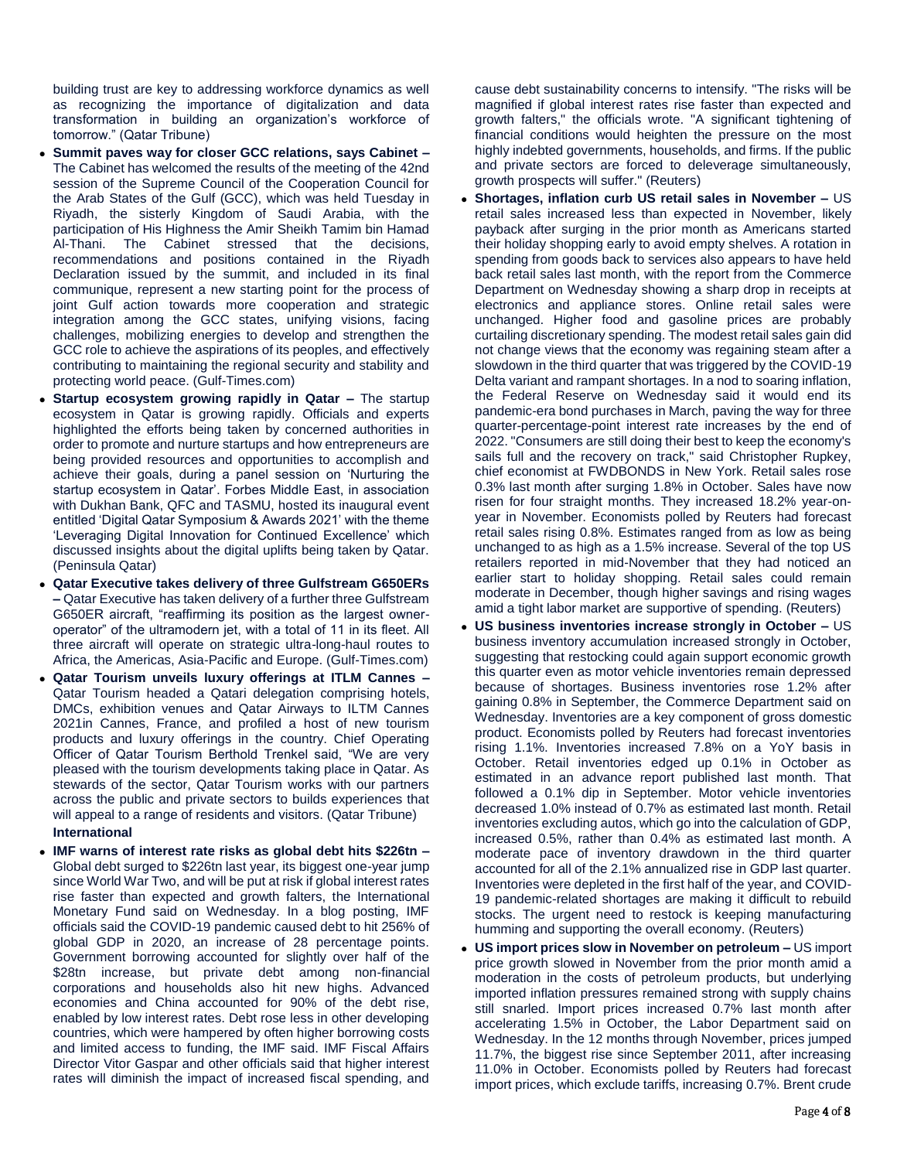building trust are key to addressing workforce dynamics as well as recognizing the importance of digitalization and data transformation in building an organization's workforce of tomorrow." (Qatar Tribune)

- **Summit paves way for closer GCC relations, says Cabinet –** The Cabinet has welcomed the results of the meeting of the 42nd session of the Supreme Council of the Cooperation Council for the Arab States of the Gulf (GCC), which was held Tuesday in Riyadh, the sisterly Kingdom of Saudi Arabia, with the participation of His Highness the Amir Sheikh Tamim bin Hamad Al-Thani. The Cabinet stressed that the decisions, recommendations and positions contained in the Riyadh Declaration issued by the summit, and included in its final communique, represent a new starting point for the process of joint Gulf action towards more cooperation and strategic integration among the GCC states, unifying visions, facing challenges, mobilizing energies to develop and strengthen the GCC role to achieve the aspirations of its peoples, and effectively contributing to maintaining the regional security and stability and protecting world peace. (Gulf-Times.com)
- **Startup ecosystem growing rapidly in Qatar –** The startup ecosystem in Qatar is growing rapidly. Officials and experts highlighted the efforts being taken by concerned authorities in order to promote and nurture startups and how entrepreneurs are being provided resources and opportunities to accomplish and achieve their goals, during a panel session on 'Nurturing the startup ecosystem in Qatar'. Forbes Middle East, in association with Dukhan Bank, QFC and TASMU, hosted its inaugural event entitled 'Digital Qatar Symposium & Awards 2021' with the theme 'Leveraging Digital Innovation for Continued Excellence' which discussed insights about the digital uplifts being taken by Qatar. (Peninsula Qatar)
- **Qatar Executive takes delivery of three Gulfstream G650ERs –** Qatar Executive has taken delivery of a further three Gulfstream G650ER aircraft, "reaffirming its position as the largest owneroperator" of the ultramodern jet, with a total of 11 in its fleet. All three aircraft will operate on strategic ultra-long-haul routes to Africa, the Americas, Asia-Pacific and Europe. (Gulf-Times.com)
- **Qatar Tourism unveils luxury offerings at ITLM Cannes –** Qatar Tourism headed a Qatari delegation comprising hotels, DMCs, exhibition venues and Qatar Airways to ILTM Cannes 2021in Cannes, France, and profiled a host of new tourism products and luxury offerings in the country. Chief Operating Officer of Qatar Tourism Berthold Trenkel said, "We are very pleased with the tourism developments taking place in Qatar. As stewards of the sector, Qatar Tourism works with our partners across the public and private sectors to builds experiences that will appeal to a range of residents and visitors. (Qatar Tribune) **International**
- **IMF warns of interest rate risks as global debt hits \$226tn –** Global debt surged to \$226tn last year, its biggest one-year jump since World War Two, and will be put at risk if global interest rates rise faster than expected and growth falters, the International Monetary Fund said on Wednesday. In a blog posting, IMF officials said the COVID-19 pandemic caused debt to hit 256% of global GDP in 2020, an increase of 28 percentage points. Government borrowing accounted for slightly over half of the \$28tn increase, but private debt among non-financial corporations and households also hit new highs. Advanced economies and China accounted for 90% of the debt rise, enabled by low interest rates. Debt rose less in other developing countries, which were hampered by often higher borrowing costs and limited access to funding, the IMF said. IMF Fiscal Affairs Director Vitor Gaspar and other officials said that higher interest rates will diminish the impact of increased fiscal spending, and

cause debt sustainability concerns to intensify. "The risks will be magnified if global interest rates rise faster than expected and growth falters," the officials wrote. "A significant tightening of financial conditions would heighten the pressure on the most highly indebted governments, households, and firms. If the public and private sectors are forced to deleverage simultaneously, growth prospects will suffer." (Reuters)

- **Shortages, inflation curb US retail sales in November –** US retail sales increased less than expected in November, likely payback after surging in the prior month as Americans started their holiday shopping early to avoid empty shelves. A rotation in spending from goods back to services also appears to have held back retail sales last month, with the report from the Commerce Department on Wednesday showing a sharp drop in receipts at electronics and appliance stores. Online retail sales were unchanged. Higher food and gasoline prices are probably curtailing discretionary spending. The modest retail sales gain did not change views that the economy was regaining steam after a slowdown in the third quarter that was triggered by the COVID-19 Delta variant and rampant shortages. In a nod to soaring inflation, the Federal Reserve on Wednesday said it would end its pandemic-era bond purchases in March, paving the way for three quarter-percentage-point interest rate increases by the end of 2022. "Consumers are still doing their best to keep the economy's sails full and the recovery on track," said Christopher Rupkey, chief economist at FWDBONDS in New York. Retail sales rose 0.3% last month after surging 1.8% in October. Sales have now risen for four straight months. They increased 18.2% year-onyear in November. Economists polled by Reuters had forecast retail sales rising 0.8%. Estimates ranged from as low as being unchanged to as high as a 1.5% increase. Several of the top US retailers reported in mid-November that they had noticed an earlier start to holiday shopping. Retail sales could remain moderate in December, though higher savings and rising wages amid a tight labor market are supportive of spending. (Reuters)
- **US business inventories increase strongly in October –** US business inventory accumulation increased strongly in October, suggesting that restocking could again support economic growth this quarter even as motor vehicle inventories remain depressed because of shortages. Business inventories rose 1.2% after gaining 0.8% in September, the Commerce Department said on Wednesday. Inventories are a key component of gross domestic product. Economists polled by Reuters had forecast inventories rising 1.1%. Inventories increased 7.8% on a YoY basis in October. Retail inventories edged up 0.1% in October as estimated in an advance report published last month. That followed a 0.1% dip in September. Motor vehicle inventories decreased 1.0% instead of 0.7% as estimated last month. Retail inventories excluding autos, which go into the calculation of GDP, increased 0.5%, rather than 0.4% as estimated last month. A moderate pace of inventory drawdown in the third quarter accounted for all of the 2.1% annualized rise in GDP last quarter. Inventories were depleted in the first half of the year, and COVID-19 pandemic-related shortages are making it difficult to rebuild stocks. The urgent need to restock is keeping manufacturing humming and supporting the overall economy. (Reuters)
- **US import prices slow in November on petroleum –** US import price growth slowed in November from the prior month amid a moderation in the costs of petroleum products, but underlying imported inflation pressures remained strong with supply chains still snarled. Import prices increased 0.7% last month after accelerating 1.5% in October, the Labor Department said on Wednesday. In the 12 months through November, prices jumped 11.7%, the biggest rise since September 2011, after increasing 11.0% in October. Economists polled by Reuters had forecast import prices, which exclude tariffs, increasing 0.7%. Brent crude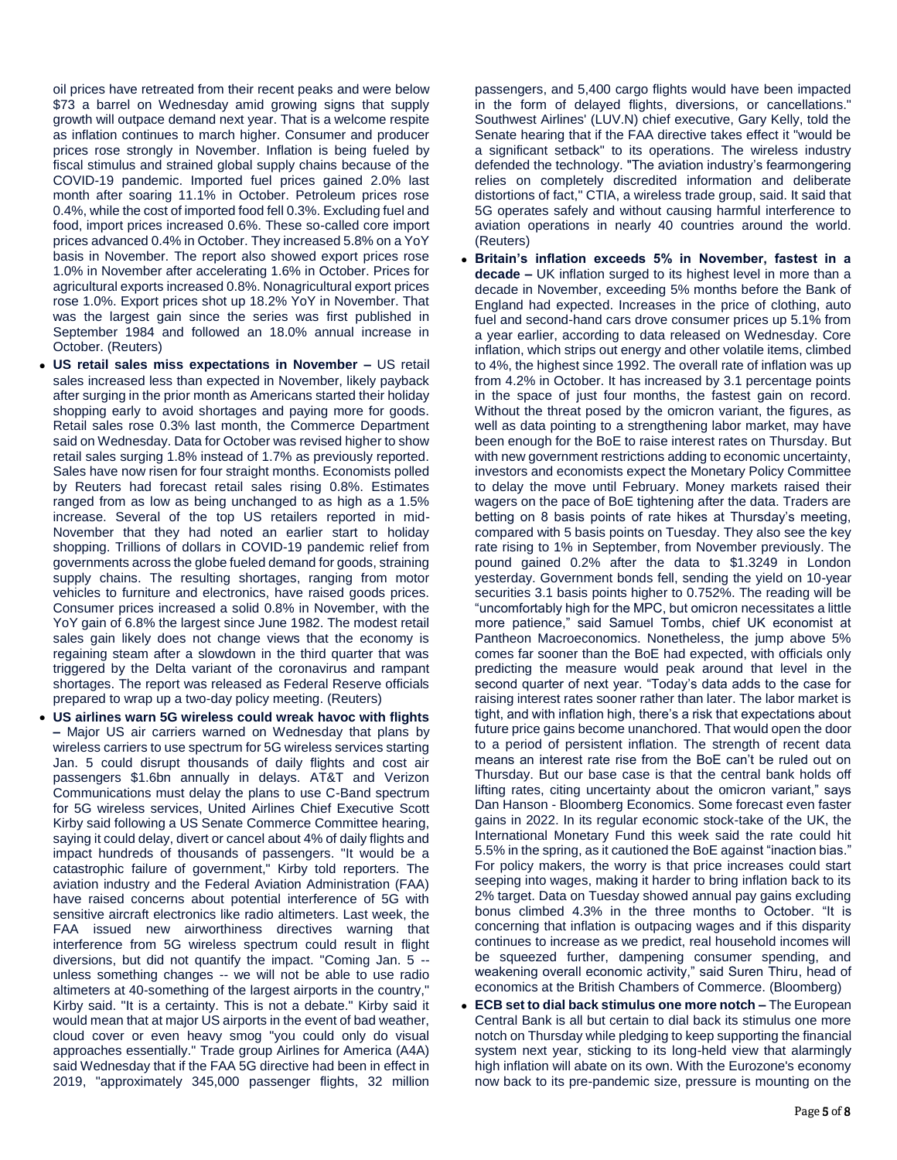oil prices have retreated from their recent peaks and were below \$73 a barrel on Wednesday amid growing signs that supply growth will outpace demand next year. That is a welcome respite as inflation continues to march higher. Consumer and producer prices rose strongly in November. Inflation is being fueled by fiscal stimulus and strained global supply chains because of the COVID-19 pandemic. Imported fuel prices gained 2.0% last month after soaring 11.1% in October. Petroleum prices rose 0.4%, while the cost of imported food fell 0.3%. Excluding fuel and food, import prices increased 0.6%. These so-called core import prices advanced 0.4% in October. They increased 5.8% on a YoY basis in November. The report also showed export prices rose 1.0% in November after accelerating 1.6% in October. Prices for agricultural exports increased 0.8%. Nonagricultural export prices rose 1.0%. Export prices shot up 18.2% YoY in November. That was the largest gain since the series was first published in September 1984 and followed an 18.0% annual increase in October. (Reuters)

- **US retail sales miss expectations in November –** US retail sales increased less than expected in November, likely payback after surging in the prior month as Americans started their holiday shopping early to avoid shortages and paying more for goods. Retail sales rose 0.3% last month, the Commerce Department said on Wednesday. Data for October was revised higher to show retail sales surging 1.8% instead of 1.7% as previously reported. Sales have now risen for four straight months. Economists polled by Reuters had forecast retail sales rising 0.8%. Estimates ranged from as low as being unchanged to as high as a 1.5% increase. Several of the top US retailers reported in mid-November that they had noted an earlier start to holiday shopping. Trillions of dollars in COVID-19 pandemic relief from governments across the globe fueled demand for goods, straining supply chains. The resulting shortages, ranging from motor vehicles to furniture and electronics, have raised goods prices. Consumer prices increased a solid 0.8% in November, with the YoY gain of 6.8% the largest since June 1982. The modest retail sales gain likely does not change views that the economy is regaining steam after a slowdown in the third quarter that was triggered by the Delta variant of the coronavirus and rampant shortages. The report was released as Federal Reserve officials prepared to wrap up a two-day policy meeting. (Reuters)
- **US airlines warn 5G wireless could wreak havoc with flights –** Major US air carriers warned on Wednesday that plans by wireless carriers to use spectrum for 5G wireless services starting Jan. 5 could disrupt thousands of daily flights and cost air passengers \$1.6bn annually in delays. AT&T and Verizon Communications must delay the plans to use C-Band spectrum for 5G wireless services, United Airlines Chief Executive Scott Kirby said following a US Senate Commerce Committee hearing, saying it could delay, divert or cancel about 4% of daily flights and impact hundreds of thousands of passengers. "It would be a catastrophic failure of government," Kirby told reporters. The aviation industry and the Federal Aviation Administration (FAA) have raised concerns about potential interference of 5G with sensitive aircraft electronics like radio altimeters. Last week, the FAA issued new airworthiness directives warning that interference from 5G wireless spectrum could result in flight diversions, but did not quantify the impact. "Coming Jan. 5 - unless something changes -- we will not be able to use radio altimeters at 40-something of the largest airports in the country," Kirby said. "It is a certainty. This is not a debate." Kirby said it would mean that at major US airports in the event of bad weather, cloud cover or even heavy smog "you could only do visual approaches essentially." Trade group Airlines for America (A4A) said Wednesday that if the FAA 5G directive had been in effect in 2019, "approximately 345,000 passenger flights, 32 million

passengers, and 5,400 cargo flights would have been impacted in the form of delayed flights, diversions, or cancellations." Southwest Airlines' (LUV.N) chief executive, Gary Kelly, told the Senate hearing that if the FAA directive takes effect it "would be a significant setback" to its operations. The wireless industry defended the technology. "The aviation industry's fearmongering relies on completely discredited information and deliberate distortions of fact," CTIA, a wireless trade group, said. It said that 5G operates safely and without causing harmful interference to aviation operations in nearly 40 countries around the world. (Reuters)

- **Britain's inflation exceeds 5% in November, fastest in a decade –** UK inflation surged to its highest level in more than a decade in November, exceeding 5% months before the Bank of England had expected. Increases in the price of clothing, auto fuel and second-hand cars drove consumer prices up 5.1% from a year earlier, according to data released on Wednesday. Core inflation, which strips out energy and other volatile items, climbed to 4%, the highest since 1992. The overall rate of inflation was up from 4.2% in October. It has increased by 3.1 percentage points in the space of just four months, the fastest gain on record. Without the threat posed by the omicron variant, the figures, as well as data pointing to a strengthening labor market, may have been enough for the BoE to raise interest rates on Thursday. But with new government restrictions adding to economic uncertainty, investors and economists expect the Monetary Policy Committee to delay the move until February. Money markets raised their wagers on the pace of BoE tightening after the data. Traders are betting on 8 basis points of rate hikes at Thursday's meeting, compared with 5 basis points on Tuesday. They also see the key rate rising to 1% in September, from November previously. The pound gained 0.2% after the data to \$1.3249 in London yesterday. Government bonds fell, sending the yield on 10-year securities 3.1 basis points higher to 0.752%. The reading will be "uncomfortably high for the MPC, but omicron necessitates a little more patience," said Samuel Tombs, chief UK economist at Pantheon Macroeconomics. Nonetheless, the jump above 5% comes far sooner than the BoE had expected, with officials only predicting the measure would peak around that level in the second quarter of next year. "Today's data adds to the case for raising interest rates sooner rather than later. The labor market is tight, and with inflation high, there's a risk that expectations about future price gains become unanchored. That would open the door to a period of persistent inflation. The strength of recent data means an interest rate rise from the BoE can't be ruled out on Thursday. But our base case is that the central bank holds off lifting rates, citing uncertainty about the omicron variant," says Dan Hanson - Bloomberg Economics. Some forecast even faster gains in 2022. In its regular economic stock-take of the UK, the International Monetary Fund this week said the rate could hit 5.5% in the spring, as it cautioned the BoE against "inaction bias." For policy makers, the worry is that price increases could start seeping into wages, making it harder to bring inflation back to its 2% target. Data on Tuesday showed annual pay gains excluding bonus climbed 4.3% in the three months to October. "It is concerning that inflation is outpacing wages and if this disparity continues to increase as we predict, real household incomes will be squeezed further, dampening consumer spending, and weakening overall economic activity," said Suren Thiru, head of economics at the British Chambers of Commerce. (Bloomberg)
- **ECB set to dial back stimulus one more notch –** The European Central Bank is all but certain to dial back its stimulus one more notch on Thursday while pledging to keep supporting the financial system next year, sticking to its long-held view that alarmingly high inflation will abate on its own. With the Eurozone's economy now back to its pre-pandemic size, pressure is mounting on the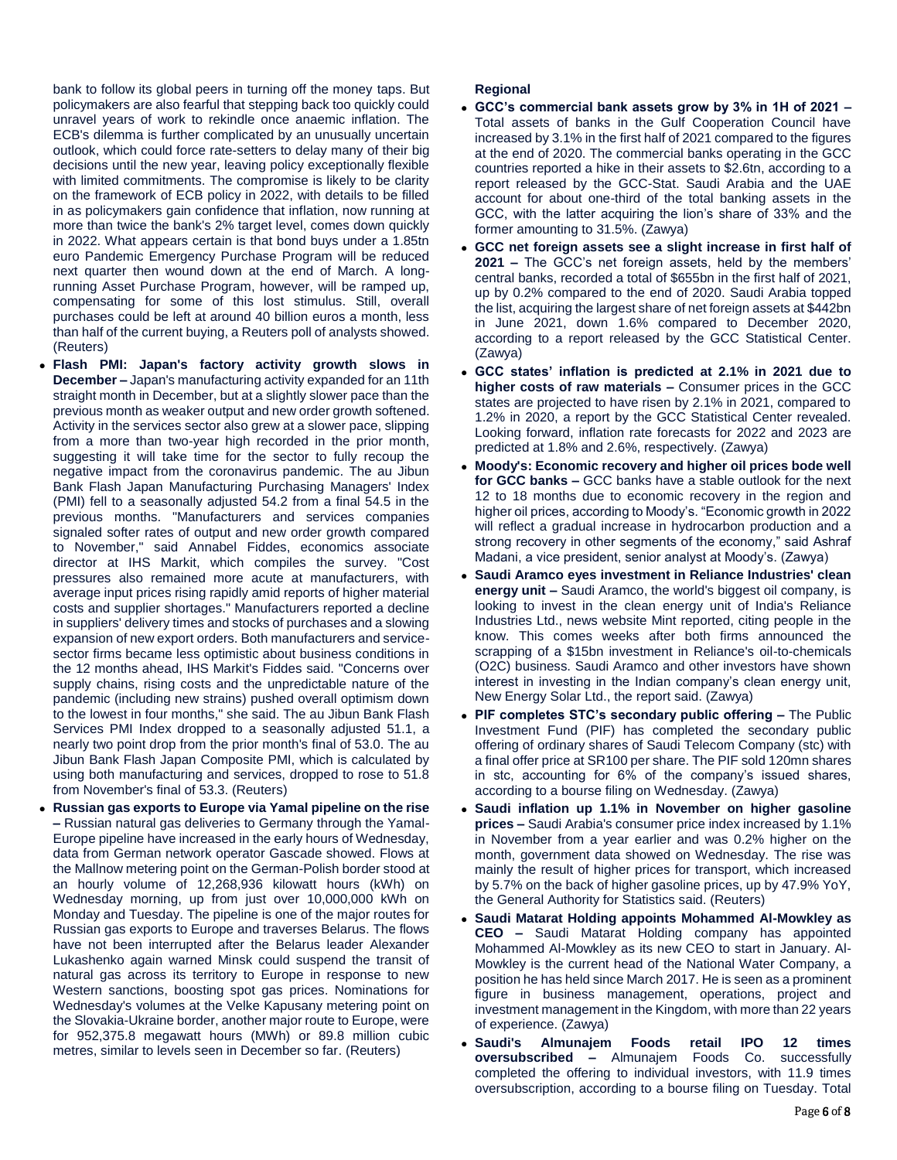bank to follow its global peers in turning off the money taps. But policymakers are also fearful that stepping back too quickly could unravel years of work to rekindle once anaemic inflation. The ECB's dilemma is further complicated by an unusually uncertain outlook, which could force rate-setters to delay many of their big decisions until the new year, leaving policy exceptionally flexible with limited commitments. The compromise is likely to be clarity on the framework of ECB policy in 2022, with details to be filled in as policymakers gain confidence that inflation, now running at more than twice the bank's 2% target level, comes down quickly in 2022. What appears certain is that bond buys under a 1.85tn euro Pandemic Emergency Purchase Program will be reduced next quarter then wound down at the end of March. A longrunning Asset Purchase Program, however, will be ramped up, compensating for some of this lost stimulus. Still, overall purchases could be left at around 40 billion euros a month, less than half of the current buying, a Reuters poll of analysts showed. (Reuters)

- **Flash PMI: Japan's factory activity growth slows in December –** Japan's manufacturing activity expanded for an 11th straight month in December, but at a slightly slower pace than the previous month as weaker output and new order growth softened. Activity in the services sector also grew at a slower pace, slipping from a more than two-year high recorded in the prior month, suggesting it will take time for the sector to fully recoup the negative impact from the coronavirus pandemic. The au Jibun Bank Flash Japan Manufacturing Purchasing Managers' Index (PMI) fell to a seasonally adjusted 54.2 from a final 54.5 in the previous months. "Manufacturers and services companies signaled softer rates of output and new order growth compared to November," said Annabel Fiddes, economics associate director at IHS Markit, which compiles the survey. "Cost pressures also remained more acute at manufacturers, with average input prices rising rapidly amid reports of higher material costs and supplier shortages." Manufacturers reported a decline in suppliers' delivery times and stocks of purchases and a slowing expansion of new export orders. Both manufacturers and servicesector firms became less optimistic about business conditions in the 12 months ahead, IHS Markit's Fiddes said. "Concerns over supply chains, rising costs and the unpredictable nature of the pandemic (including new strains) pushed overall optimism down to the lowest in four months," she said. The au Jibun Bank Flash Services PMI Index dropped to a seasonally adjusted 51.1, a nearly two point drop from the prior month's final of 53.0. The au Jibun Bank Flash Japan Composite PMI, which is calculated by using both manufacturing and services, dropped to rose to 51.8 from November's final of 53.3. (Reuters)
- **Russian gas exports to Europe via Yamal pipeline on the rise –** Russian natural gas deliveries to Germany through the Yamal-Europe pipeline have increased in the early hours of Wednesday, data from German network operator Gascade showed. Flows at the Mallnow metering point on the German-Polish border stood at an hourly volume of 12,268,936 kilowatt hours (kWh) on Wednesday morning, up from just over 10,000,000 kWh on Monday and Tuesday. The pipeline is one of the major routes for Russian gas exports to Europe and traverses Belarus. The flows have not been interrupted after the Belarus leader Alexander Lukashenko again warned Minsk could suspend the transit of natural gas across its territory to Europe in response to new Western sanctions, boosting spot gas prices. Nominations for Wednesday's volumes at the Velke Kapusany metering point on the Slovakia-Ukraine border, another major route to Europe, were for 952,375.8 megawatt hours (MWh) or 89.8 million cubic metres, similar to levels seen in December so far. (Reuters)

### **Regional**

- **GCC's commercial bank assets grow by 3% in 1H of 2021 –** Total assets of banks in the Gulf Cooperation Council have increased by 3.1% in the first half of 2021 compared to the figures at the end of 2020. The commercial banks operating in the GCC countries reported a hike in their assets to \$2.6tn, according to a report released by the GCC-Stat. Saudi Arabia and the UAE account for about one-third of the total banking assets in the GCC, with the latter acquiring the lion's share of 33% and the former amounting to 31.5%. (Zawya)
- **GCC net foreign assets see a slight increase in first half of 2021 –** The GCC's net foreign assets, held by the members' central banks, recorded a total of \$655bn in the first half of 2021, up by 0.2% compared to the end of 2020. Saudi Arabia topped the list, acquiring the largest share of net foreign assets at \$442bn in June 2021, down 1.6% compared to December 2020, according to a report released by the GCC Statistical Center. (Zawya)
- **GCC states' inflation is predicted at 2.1% in 2021 due to higher costs of raw materials –** Consumer prices in the GCC states are projected to have risen by 2.1% in 2021, compared to 1.2% in 2020, a report by the GCC Statistical Center revealed. Looking forward, inflation rate forecasts for 2022 and 2023 are predicted at 1.8% and 2.6%, respectively. (Zawya)
- **Moody's: Economic recovery and higher oil prices bode well for GCC banks –** GCC banks have a stable outlook for the next 12 to 18 months due to economic recovery in the region and higher oil prices, according to Moody's. "Economic growth in 2022 will reflect a gradual increase in hydrocarbon production and a strong recovery in other segments of the economy," said Ashraf Madani, a vice president, senior analyst at Moody's. (Zawya)
- **Saudi Aramco eyes investment in Reliance Industries' clean energy unit –** Saudi Aramco, the world's biggest oil company, is looking to invest in the clean energy unit of India's Reliance Industries Ltd., news website Mint reported, citing people in the know. This comes weeks after both firms announced the scrapping of a \$15bn investment in Reliance's oil-to-chemicals (O2C) business. Saudi Aramco and other investors have shown interest in investing in the Indian company's clean energy unit, New Energy Solar Ltd., the report said. (Zawya)
- **PIF completes STC's secondary public offering –** The Public Investment Fund (PIF) has completed the secondary public offering of ordinary shares of Saudi Telecom Company (stc) with a final offer price at SR100 per share. The PIF sold 120mn shares in stc, accounting for 6% of the company's issued shares, according to a bourse filing on Wednesday. (Zawya)
- **Saudi inflation up 1.1% in November on higher gasoline prices –** Saudi Arabia's consumer price index increased by 1.1% in November from a year earlier and was 0.2% higher on the month, government data showed on Wednesday. The rise was mainly the result of higher prices for transport, which increased by 5.7% on the back of higher gasoline prices, up by 47.9% YoY, the General Authority for Statistics said. (Reuters)
- **Saudi Matarat Holding appoints Mohammed Al-Mowkley as CEO –** Saudi Matarat Holding company has appointed Mohammed Al-Mowkley as its new CEO to start in January. Al-Mowkley is the current head of the National Water Company, a position he has held since March 2017. He is seen as a prominent figure in business management, operations, project and investment management in the Kingdom, with more than 22 years of experience. (Zawya)
- **Saudi's Almunajem Foods retail IPO 12 times oversubscribed –** Almunajem Foods Co. successfully completed the offering to individual investors, with 11.9 times oversubscription, according to a bourse filing on Tuesday. Total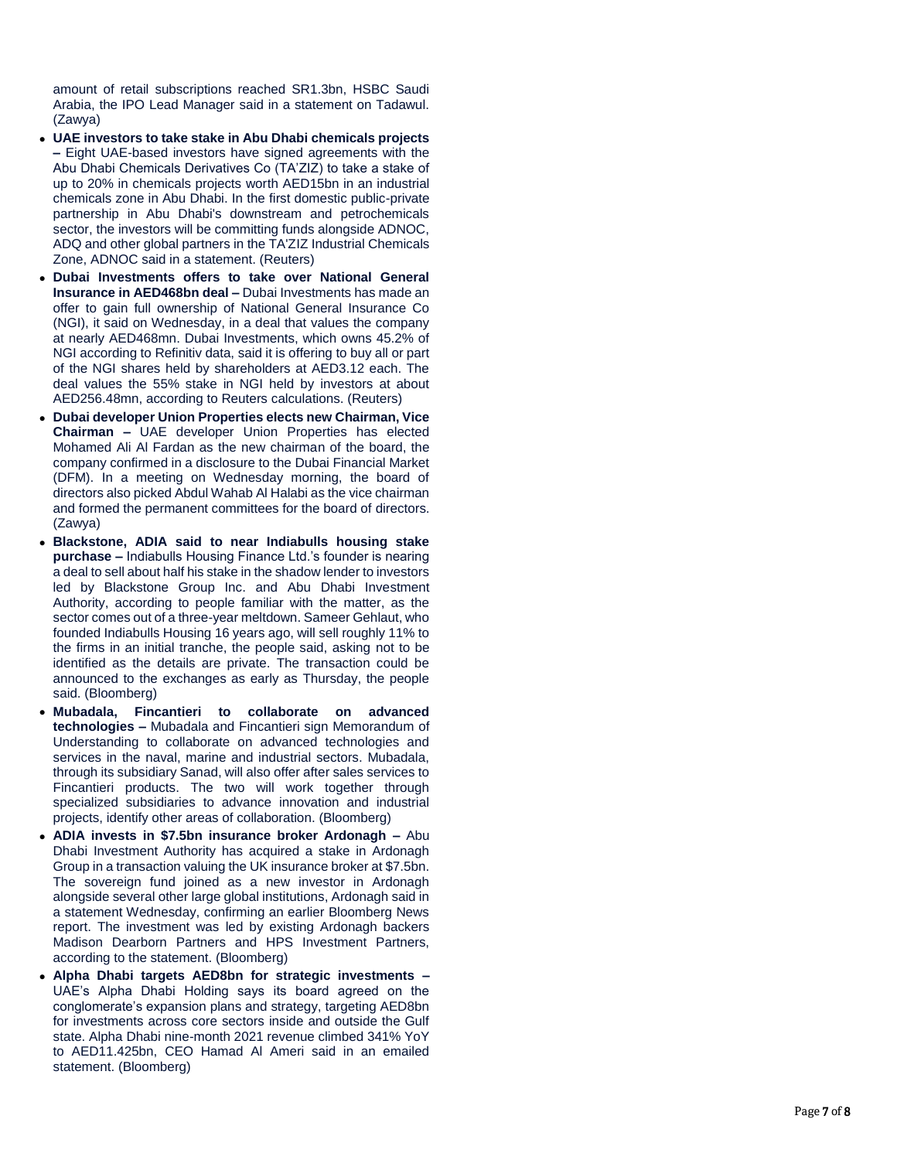amount of retail subscriptions reached SR1.3bn, HSBC Saudi Arabia, the IPO Lead Manager said in a statement on Tadawul. (Zawya)

- **UAE investors to take stake in Abu Dhabi chemicals projects –** Eight UAE-based investors have signed agreements with the Abu Dhabi Chemicals Derivatives Co (TA'ZIZ) to take a stake of up to 20% in chemicals projects worth AED15bn in an industrial chemicals zone in Abu Dhabi. In the first domestic public -private partnership in Abu Dhabi's downstream and petrochemicals sector, the investors will be committing funds alongside ADNOC, ADQ and other global partners in the TA'ZIZ Industrial Chemicals Zone, ADNOC said in a statement. (Reuters)
- **Dubai Investments offers to take over National General Insurance in AED468bn deal –** Dubai Investments has made an offer to gain full ownership of National General Insurance Co (NGI), it said on Wednesday, in a deal that values the company at nearly AED468mn. Dubai Investments, which owns 45.2% of NGI according to Refinitiv data, said it is offering to buy all or part of the NGI shares held by shareholders at AED3.12 each. The deal values the 55% stake in NGI held by investors at about AED256.48mn, according to Reuters calculations. (Reuters)
- **Dubai developer Union Properties elects new Chairman, Vice Chairman –** UAE developer Union Properties has elected Mohamed Ali Al Fardan as the new chairman of the board, the company confirmed in a disclosure to the Dubai Financial Market (DFM). In a meeting on Wednesday morning, the board of directors also picked Abdul Wahab Al Halabi as the vice chairman and formed the permanent committees for the board of directors. (Zawya)
- **Blackstone, ADIA said to near Indiabulls housing stake purchase –** Indiabulls Housing Finance Ltd.'s founder is nearing a deal to sell about half his stake in the shadow lender to investors led by Blackstone Group Inc. and Abu Dhabi Investment Authority, according to people familiar with the matter, as the sector comes out of a three -year meltdown. Sameer Gehlaut, who founded Indiabulls Housing 16 years ago, will sell roughly 11% to the firms in an initial tranche, the people said, asking not to be identified as the details are private. The transaction could be announced to the exchanges as early as Thursday, the people said. (Bloomberg)
- **Mubadala, Fincantieri to collaborate on advanced technologies –** Mubadala and Fincantieri sign Memorandum of Understanding to collaborate on advanced technologies and services in the naval, marine and industrial sectors. Mubadala, through its subsidiary Sanad, will also offer after sales services to Fincantieri products. The two will work together through specialized subsidiaries to advance innovation and industrial projects, identify other areas of collaboration. (Bloomberg)
- **ADIA invests in \$7.5bn insurance broker Ardonagh –** Abu Dhabi Investment Authority has acquired a stake in Ardonagh Group in a transaction valuing the UK insurance broker at \$7.5bn. The sovereign fund joined as a new investor in Ardonagh alongside several other large global institutions, Ardonagh said in a statement Wednesday, confirming an earlier Bloomberg News report. The investment was led by existing Ardonagh backers Madison Dearborn Partners and HPS Investment Partners, according to the statement. (Bloomberg)
- **Alpha Dhabi targets AED8bn for strategic investments –** UAE's Alpha Dhabi Holding says its board agreed on the conglomerate's expansion plans and strategy, targeting AED8bn for investments across core sectors inside and outside the Gulf state. Alpha Dhabi nine -month 2021 revenue climbed 341% YoY to AED11.425bn, CEO Hamad Al Ameri said in an emailed statement. (Bloomberg)